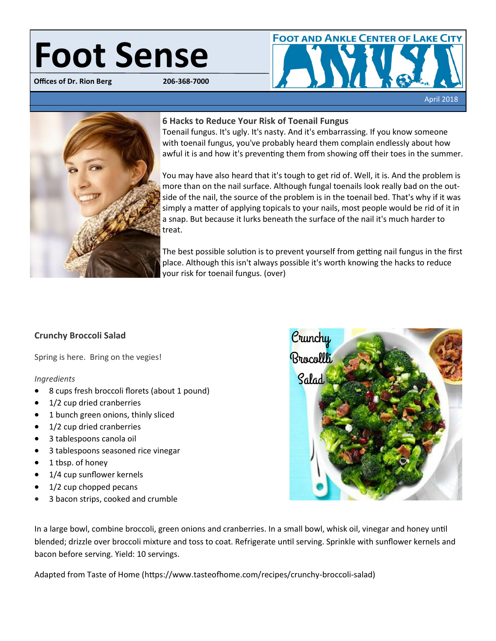# **Foot Sense**

**Offices of Dr. Rion Berg** 





### **6 Hacks to Reduce Your Risk of Toenail Fungus**

Toenail fungus. It's ugly. It's nasty. And it's embarrassing. If you know someone with toenail fungus, you've probably heard them complain endlessly about how awful it is and how it's preventing them from showing off their toes in the summer.

You may have also heard that it's tough to get rid of. Well, it is. And the problem is more than on the nail surface. Although fungal toenails look really bad on the outside of the nail, the source of the problem is in the toenail bed. That's why if it was simply a matter of applying topicals to your nails, most people would be rid of it in a snap. But because it lurks beneath the surface of the nail it's much harder to treat.

The best possible solution is to prevent yourself from getting nail fungus in the first place. Although this isn't always possible it's worth knowing the hacks to reduce your risk for toenail fungus. (over)

# **Crunchy Broccoli Salad**

Spring is here. Bring on the vegies!

### *Ingredients*

- 8 cups fresh broccoli florets (about 1 pound)
- 1/2 cup dried cranberries
- 1 bunch green onions, thinly sliced
- 1/2 cup dried cranberries
- 3 tablespoons canola oil
- 3 tablespoons seasoned rice vinegar
- 1 tbsp. of honey
- 1/4 cup sunflower kernels
- $\bullet$  1/2 cup chopped pecans
- 3 bacon strips, cooked and crumble



In a large bowl, combine broccoli, green onions and cranberries. In a small bowl, whisk oil, vinegar and honey until blended; drizzle over broccoli mixture and toss to coat. Refrigerate until serving. Sprinkle with sunflower kernels and bacon before serving. Yield: 10 servings.

Adapted from Taste of Home (https://www.tasteofhome.com/recipes/crunchy-broccoli-salad)